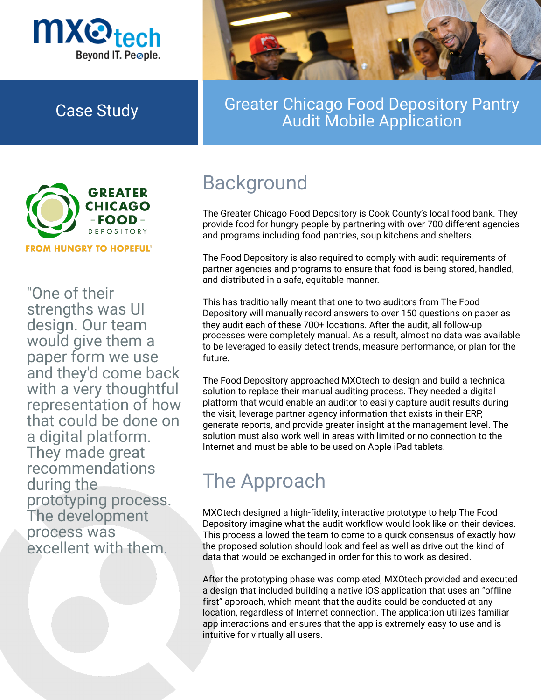



## Case Study **Greater Chicago Food Depository Pantry** Audit Mobile Application



"One of their strengths was UI design. Our team would give them a paper form we use and they'd come back with a very thoughtful representation of how that could be done on a digital platform. They made great recommendations during the prototyping process. The development

### process was excellent with them.

The Greater Chicago Food Depository is Cook County's local food bank. They provide food for hungry people by partnering with over 700 different agencies and programs including food pantries, soup kitchens and shelters.

The Food Depository is also required to comply with audit requirements of

partner agencies and programs to ensure that food is being stored, handled, and distributed in a safe, equitable manner.

This has traditionally meant that one to two auditors from The Food Depository will manually record answers to over 150 questions on paper as they audit each of these 700+ locations. After the audit, all follow-up processes were completely manual. As a result, almost no data was available to be leveraged to easily detect trends, measure performance, or plan for the future.

The Food Depository approached MXOtech to design and build a technical solution to replace their manual auditing process. They needed a digital platform that would enable an auditor to easily capture audit results during the visit, leverage partner agency information that exists in their ERP, generate reports, and provide greater insight at the management level. The solution must also work well in areas with limited or no connection to the Internet and must be able to be used on Apple iPad tablets.

# Background

MXOtech designed a high-fidelity, interactive prototype to help The Food Depository imagine what the audit workflow would look like on their devices.

This process allowed the team to come to a quick consensus of exactly how the proposed solution should look and feel as well as drive out the kind of data that would be exchanged in order for this to work as desired.

After the prototyping phase was completed, MXOtech provided and executed a design that included building a native iOS application that uses an "offline first" approach, which meant that the audits could be conducted at any location, regardless of Internet connection. The application utilizes familiar app interactions and ensures that the app is extremely easy to use and is intuitive for virtually all users.

# The Approach